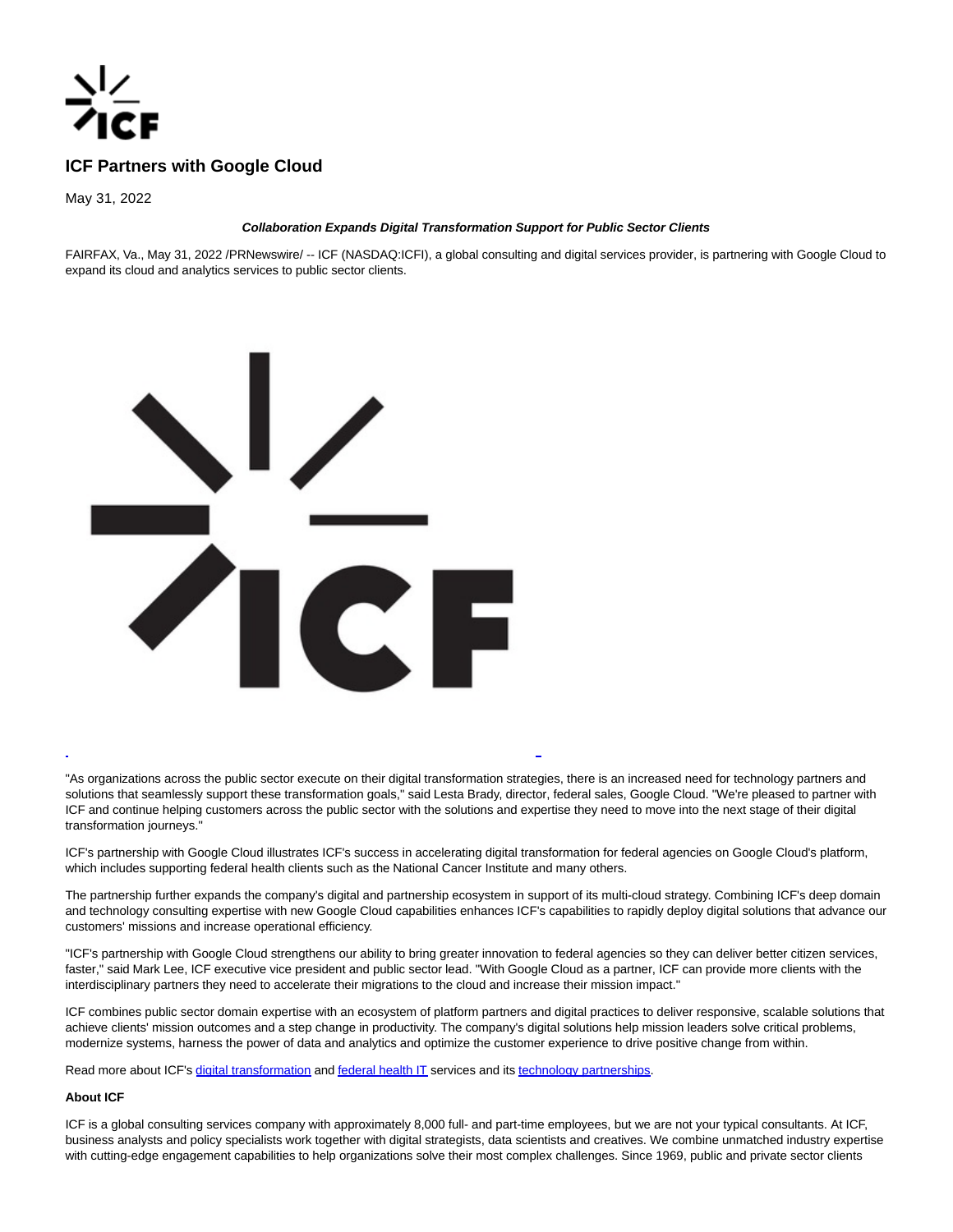

# **ICF Partners with Google Cloud**

May 31, 2022

# **Collaboration Expands Digital Transformation Support for Public Sector Clients**

FAIRFAX, Va., May 31, 2022 /PRNewswire/ -- ICF (NASDAQ:ICFI), a global consulting and digital services provider, is partnering with Google Cloud to expand its cloud and analytics services to public sector clients.



"As organizations across the public sector execute on their digital transformation strategies, there is an increased need for technology partners and solutions that seamlessly support these transformation goals," said Lesta Brady, director, federal sales, Google Cloud. "We're pleased to partner with ICF and continue helping customers across the public sector with the solutions and expertise they need to move into the next stage of their digital transformation journeys."

L

ICF's partnership with Google Cloud illustrates ICF's success in accelerating digital transformation for federal agencies on Google Cloud's platform, which includes supporting federal health clients such as the National Cancer Institute and many others.

The partnership further expands the company's digital and partnership ecosystem in support of its multi-cloud strategy. Combining ICF's deep domain and technology consulting expertise with new Google Cloud capabilities enhances ICF's capabilities to rapidly deploy digital solutions that advance our customers' missions and increase operational efficiency.

"ICF's partnership with Google Cloud strengthens our ability to bring greater innovation to federal agencies so they can deliver better citizen services, faster," said Mark Lee, ICF executive vice president and public sector lead. "With Google Cloud as a partner, ICF can provide more clients with the interdisciplinary partners they need to accelerate their migrations to the cloud and increase their mission impact."

ICF combines public sector domain expertise with an ecosystem of platform partners and digital practices to deliver responsive, scalable solutions that achieve clients' mission outcomes and a step change in productivity. The company's digital solutions help mission leaders solve critical problems, modernize systems, harness the power of data and analytics and optimize the customer experience to drive positive change from within.

Read more about ICF's [digital transformation a](https://c212.net/c/link/?t=0&l=en&o=3552909-1&h=4121711820&u=https%3A%2F%2Fwww.icf.com%2Fwork%2Fdigital&a=digital+transformation)n[d federal health IT s](https://c212.net/c/link/?t=0&l=en&o=3552909-1&h=3884637873&u=https%3A%2F%2Fwww.icf.com%2Fwork%2Ffederal-health%2Fit&a=federal+health+IT)ervices and its technology partnerships.

# **About ICF**

ICF is a global consulting services company with approximately 8,000 full- and part-time employees, but we are not your typical consultants. At ICF, business analysts and policy specialists work together with digital strategists, data scientists and creatives. We combine unmatched industry expertise with cutting-edge engagement capabilities to help organizations solve their most complex challenges. Since 1969, public and private sector clients